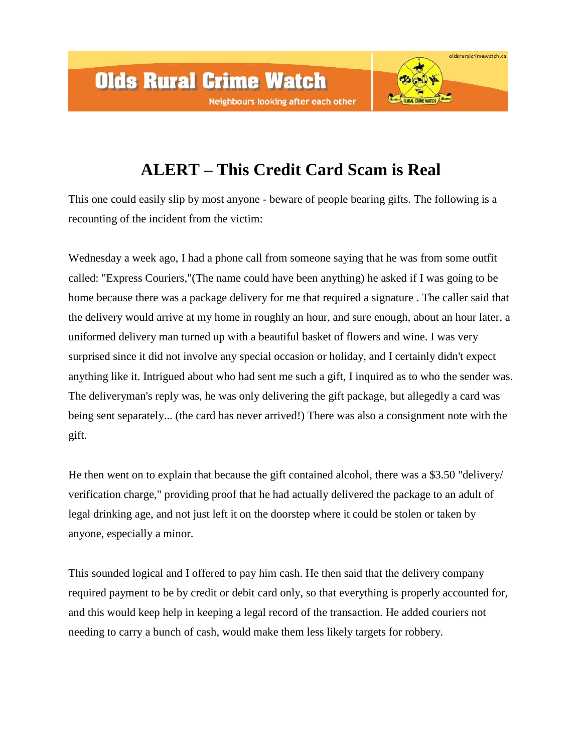## **ALERT – This Credit Card Scam is Real**

oldsruralcrimewatch.ca

This one could easily slip by most anyone - beware of people bearing gifts. The following is a recounting of the incident from the victim:

Wednesday a week ago, I had a phone call from someone saying that he was from some outfit called: "Express Couriers,"(The name could have been anything) he asked if I was going to be home because there was a package delivery for me that required a signature . The caller said that the delivery would arrive at my home in roughly an hour, and sure enough, about an hour later, a uniformed delivery man turned up with a beautiful basket of flowers and wine. I was very surprised since it did not involve any special occasion or holiday, and I certainly didn't expect anything like it. Intrigued about who had sent me such a gift, I inquired as to who the sender was. The deliveryman's reply was, he was only delivering the gift package, but allegedly a card was being sent separately... (the card has never arrived!) There was also a consignment note with the gift.

He then went on to explain that because the gift contained alcohol, there was a \$3.50 "delivery/ verification charge," providing proof that he had actually delivered the package to an adult of legal drinking age, and not just left it on the doorstep where it could be stolen or taken by anyone, especially a minor.

This sounded logical and I offered to pay him cash. He then said that the delivery company required payment to be by credit or debit card only, so that everything is properly accounted for, and this would keep help in keeping a legal record of the transaction. He added couriers not needing to carry a bunch of cash, would make them less likely targets for robbery.